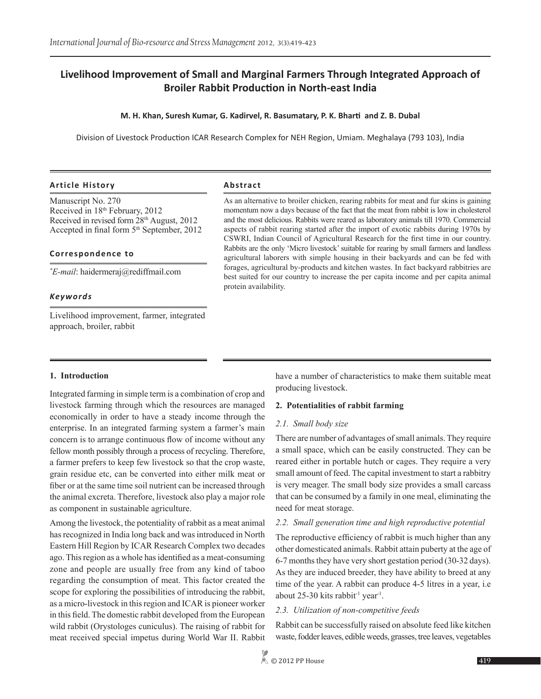# **Livelihood Improvement of Small and Marginal Farmers Through Integrated Approach of Broiler Rabbit Production in North-east India**

#### **M. H. Khan, Suresh Kumar, G. Kadirvel, R. Basumatary, P. K. Bharti and Z. B. Dubal**

Division of Livestock Production ICAR Research Complex for NEH Region, Umiam. Meghalaya (793 103), India

#### **Article History Abstract**

Manuscript No. 270 Received in 18th February, 2012 Received in revised form 28th August, 2012 Accepted in final form  $5<sup>th</sup>$  September, 2012

#### **Correspondence to**

*\* E-mail*: haidermeraj@rediffmail.com

#### *Keywords*

Livelihood improvement, farmer, integrated approach, broiler, rabbit

As an alternative to broiler chicken, rearing rabbits for meat and fur skins is gaining momentum now a days because of the fact that the meat from rabbit is low in cholesterol and the most delicious. Rabbits were reared as laboratory animals till 1970. Commercial aspects of rabbit rearing started after the import of exotic rabbits during 1970s by CSWRI, Indian Council of Agricultural Research for the first time in our country. Rabbits are the only 'Micro livestock' suitable for rearing by small farmers and landless agricultural laborers with simple housing in their backyards and can be fed with forages, agricultural by-products and kitchen wastes. In fact backyard rabbitries are best suited for our country to increase the per capita income and per capita animal protein availability.

#### **1. Introduction**

Integrated farming in simple term is a combination of crop and livestock farming through which the resources are managed economically in order to have a steady income through the enterprise. In an integrated farming system a farmer's main concern is to arrange continuous flow of income without any fellow month possibly through a process of recycling. Therefore, a farmer prefers to keep few livestock so that the crop waste, grain residue etc, can be converted into either milk meat or fiber or at the same time soil nutrient can be increased through the animal excreta. Therefore, livestock also play a major role as component in sustainable agriculture.

Among the livestock, the potentiality of rabbit as a meat animal has recognized in India long back and was introduced in North Eastern Hill Region by ICAR Research Complex two decades ago. This region as a whole has identified as a meat-consuming zone and people are usually free from any kind of taboo regarding the consumption of meat. This factor created the scope for exploring the possibilities of introducing the rabbit, as a micro-livestock in this region and ICAR is pioneer worker in this field. The domestic rabbit developed from the European wild rabbit (Orystologes cuniculus). The raising of rabbit for meat received special impetus during World War II. Rabbit

have a number of characteristics to make them suitable meat producing livestock.

#### **2. Potentialities of rabbit farming**

#### *2.1. Small body size*

There are number of advantages of small animals. They require a small space, which can be easily constructed. They can be reared either in portable hutch or cages. They require a very small amount of feed. The capital investment to start a rabbitry is very meager. The small body size provides a small carcass that can be consumed by a family in one meal, eliminating the need for meat storage.

#### *2.2. Small generation time and high reproductive potential*

The reproductive efficiency of rabbit is much higher than any other domesticated animals. Rabbit attain puberty at the age of 6-7 months they have very short gestation period (30-32 days). As they are induced breeder, they have ability to breed at any time of the year. A rabbit can produce 4-5 litres in a year, i.e about 25-30 kits rabbit<sup>-1</sup> year<sup>1</sup>.

#### *2.3. Utilization of non-competitive feeds*

Rabbit can be successfully raised on absolute feed like kitchen waste, fodder leaves, edible weeds, grasses, tree leaves, vegetables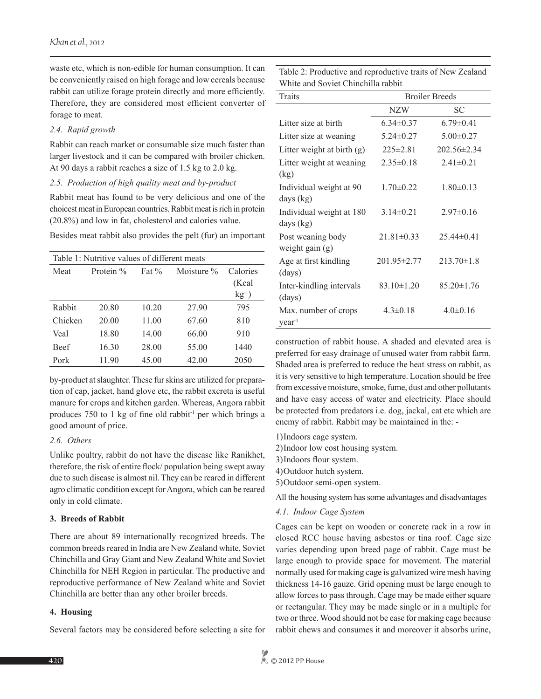waste etc, which is non-edible for human consumption. It can be conveniently raised on high forage and low cereals because rabbit can utilize forage protein directly and more efficiently. Therefore, they are considered most efficient converter of forage to meat.

#### *2.4. Rapid growth*

Rabbit can reach market or consumable size much faster than larger livestock and it can be compared with broiler chicken. At 90 days a rabbit reaches a size of 1.5 kg to 2.0 kg.

#### *2.5. Production of high quality meat and by-product*

Rabbit meat has found to be very delicious and one of the choicest meat in European countries. Rabbit meat is rich in protein (20.8%) and low in fat, cholesterol and calories value.

Besides meat rabbit also provides the pelt (fur) an important

| Table 1: Nutritive values of different meats |           |          |            |             |  |
|----------------------------------------------|-----------|----------|------------|-------------|--|
| Meat                                         | Protein % | Fat $\%$ | Moisture % | Calories    |  |
|                                              |           |          |            | (Kcal       |  |
|                                              |           |          |            | $kg^{-1}$ ) |  |
| Rabbit                                       | 20.80     | 10.20    | 27.90      | 795         |  |
| Chicken                                      | 20.00     | 11.00    | 67.60      | 810         |  |
| Veal                                         | 18.80     | 14.00    | 66.00      | 910         |  |
| Beef                                         | 16.30     | 28.00    | 55.00      | 1440        |  |
| Pork                                         | 11.90     | 45.00    | 42.00      | 2050        |  |

by-product at slaughter. These fur skins are utilized for preparation of cap, jacket, hand glove etc, the rabbit excreta is useful manure for crops and kitchen garden. Whereas, Angora rabbit produces 750 to 1 kg of fine old rabbit-1 per which brings a good amount of price.

## *2.6. Others*

Unlike poultry, rabbit do not have the disease like Ranikhet, therefore, the risk of entire flock/ population being swept away due to such disease is almost nil. They can be reared in different agro climatic condition except for Angora, which can be reared only in cold climate.

## **3. Breeds of Rabbit**

There are about 89 internationally recognized breeds. The common breeds reared in India are New Zealand white, Soviet Chinchilla and Gray Giant and New Zealand White and Soviet Chinchilla for NEH Region in particular. The productive and reproductive performance of New Zealand white and Soviet Chinchilla are better than any other broiler breeds.

## **4. Housing**

Several factors may be considered before selecting a site for

Table 2: Productive and reproductive traits of New Zealand White and Soviet Chinchilla rabbit

| Traits                       | <b>Broiler Breeds</b> |                   |  |  |
|------------------------------|-----------------------|-------------------|--|--|
|                              | NZW                   | SC                |  |  |
| Litter size at birth         | $6.34 \pm 0.37$       | $6.79 \pm 0.41$   |  |  |
| Litter size at weaning       | $5.24 \pm 0.27$       | $5.00 \pm 0.27$   |  |  |
| Litter weight at birth $(g)$ | $225 \pm 2.81$        | $202.56 \pm 2.34$ |  |  |
| Litter weight at weaning     | $2.35 \pm 0.18$       | $2.41 \pm 0.21$   |  |  |
| (kg)                         |                       |                   |  |  |
| Individual weight at 90      | $1.70 \pm 0.22$       | $1.80 \pm 0.13$   |  |  |
| days $(kg)$                  |                       |                   |  |  |
| Individual weight at 180     | $3.14\pm0.21$         | $2.97\pm0.16$     |  |  |
| days $(kg)$                  |                       |                   |  |  |
| Post weaning body            | $21.81 \pm 0.33$      | $25.44\pm0.41$    |  |  |
| weight gain $(g)$            |                       |                   |  |  |
| Age at first kindling        | 201.95 ± 2.77         | $213.70 \pm 1.8$  |  |  |
| (days)                       |                       |                   |  |  |
| Inter-kindling intervals     | $83.10 \pm 1.20$      | $85.20 \pm 1.76$  |  |  |
| (days)                       |                       |                   |  |  |
| Max. number of crops         | $4.3 \pm 0.18$        | $4.0 \pm 0.16$    |  |  |
| year <sup>1</sup>            |                       |                   |  |  |

construction of rabbit house. A shaded and elevated area is preferred for easy drainage of unused water from rabbit farm. Shaded area is preferred to reduce the heat stress on rabbit, as it is very sensitive to high temperature. Location should be free from excessive moisture, smoke, fume, dust and other pollutants and have easy access of water and electricity. Place should be protected from predators i.e. dog, jackal, cat etc which are enemy of rabbit. Rabbit may be maintained in the: -

1)Indoors cage system.

2)Indoor low cost housing system.

3)Indoors flour system.

- 4)Outdoor hutch system.
- 5)Outdoor semi-open system.

All the housing system has some advantages and disadvantages

#### *4.1. Indoor Cage System*

Cages can be kept on wooden or concrete rack in a row in closed RCC house having asbestos or tina roof. Cage size varies depending upon breed page of rabbit. Cage must be large enough to provide space for movement. The material normally used for making cage is galvanized wire mesh having thickness 14-16 gauze. Grid opening must be large enough to allow forces to pass through. Cage may be made either square or rectangular. They may be made single or in a multiple for two or three. Wood should not be ease for making cage because rabbit chews and consumes it and moreover it absorbs urine,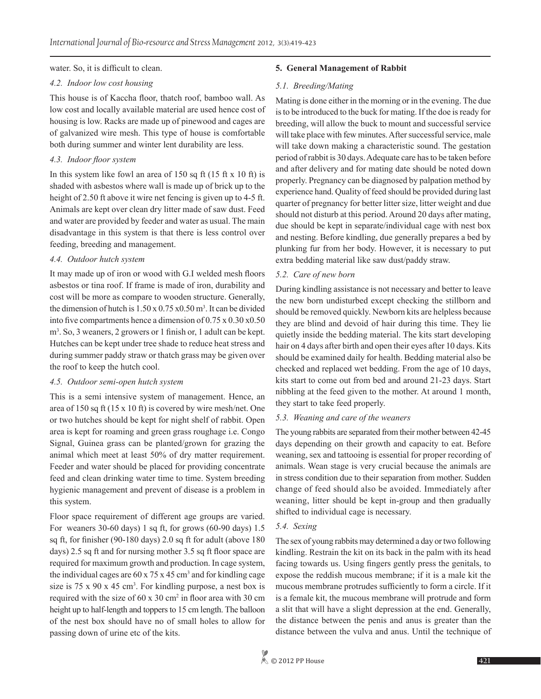water. So, it is difficult to clean.

#### *4.2. Indoor low cost housing*

This house is of Kaccha floor, thatch roof, bamboo wall. As low cost and locally available material are used hence cost of housing is low. Racks are made up of pinewood and cages are of galvanized wire mesh. This type of house is comfortable both during summer and winter lent durability are less.

#### *4.3. Indoor floor system*

In this system like fowl an area of 150 sq ft (15 ft x 10 ft) is shaded with asbestos where wall is made up of brick up to the height of 2.50 ft above it wire net fencing is given up to 4-5 ft. Animals are kept over clean dry litter made of saw dust. Feed and water are provided by feeder and water as usual. The main disadvantage in this system is that there is less control over feeding, breeding and management.

## *4.4. Outdoor hutch system*

It may made up of iron or wood with G.I welded mesh floors asbestos or tina roof. If frame is made of iron, durability and cost will be more as compare to wooden structure. Generally, the dimension of hutch is  $1.50 \times 0.75 \times 0.50$  m<sup>3</sup>. It can be divided into five compartments hence a dimension of 0.75 x 0.30 x0.50 m<sup>3</sup>. So, 3 weaners, 2 growers or 1 finish or, 1 adult can be kept. Hutches can be kept under tree shade to reduce heat stress and during summer paddy straw or thatch grass may be given over the roof to keep the hutch cool.

## *4.5. Outdoor semi-open hutch system*

This is a semi intensive system of management. Hence, an area of 150 sq ft (15 x 10 ft) is covered by wire mesh/net. One or two hutches should be kept for night shelf of rabbit. Open area is kept for roaming and green grass roughage i.e. Congo Signal, Guinea grass can be planted/grown for grazing the animal which meet at least 50% of dry matter requirement. Feeder and water should be placed for providing concentrate feed and clean drinking water time to time. System breeding hygienic management and prevent of disease is a problem in this system.

Floor space requirement of different age groups are varied. For weaners 30-60 days) 1 sq ft, for grows (60-90 days) 1.5 sq ft, for finisher (90-180 days) 2.0 sq ft for adult (above 180 days) 2.5 sq ft and for nursing mother 3.5 sq ft floor space are required for maximum growth and production. In cage system, the individual cages are  $60 \times 75 \times 45$  cm<sup>3</sup> and for kindling cage size is  $75 \times 90 \times 45$  cm<sup>3</sup>. For kindling purpose, a nest box is required with the size of  $60 \times 30$  cm<sup>2</sup> in floor area with  $30 \text{ cm}$ height up to half-length and toppers to 15 cm length. The balloon of the nest box should have no of small holes to allow for passing down of urine etc of the kits.

## **5. General Management of Rabbit**

## *5.1. Breeding/Mating*

Mating is done either in the morning or in the evening. The due is to be introduced to the buck for mating. If the doe is ready for breeding, will allow the buck to mount and successful service will take place with few minutes. After successful service, male will take down making a characteristic sound. The gestation period of rabbit is 30 days. Adequate care has to be taken before and after delivery and for mating date should be noted down properly. Pregnancy can be diagnosed by palpation method by experience hand. Quality of feed should be provided during last quarter of pregnancy for better litter size, litter weight and due should not disturb at this period. Around 20 days after mating, due should be kept in separate/individual cage with nest box and nesting. Before kindling, due generally prepares a bed by plunking fur from her body. However, it is necessary to put extra bedding material like saw dust/paddy straw.

## *5.2. Care of new born*

During kindling assistance is not necessary and better to leave the new born undisturbed except checking the stillborn and should be removed quickly. Newborn kits are helpless because they are blind and devoid of hair during this time. They lie quietly inside the bedding material. The kits start developing hair on 4 days after birth and open their eyes after 10 days. Kits should be examined daily for health. Bedding material also be checked and replaced wet bedding. From the age of 10 days, kits start to come out from bed and around 21-23 days. Start nibbling at the feed given to the mother. At around 1 month, they start to take feed properly.

## *5.3. Weaning and care of the weaners*

The young rabbits are separated from their mother between 42-45 days depending on their growth and capacity to eat. Before weaning, sex and tattooing is essential for proper recording of animals. Wean stage is very crucial because the animals are in stress condition due to their separation from mother. Sudden change of feed should also be avoided. Immediately after weaning, litter should be kept in-group and then gradually shifted to individual cage is necessary.

## *5.4. Sexing*

The sex of young rabbits may determined a day or two following kindling. Restrain the kit on its back in the palm with its head facing towards us. Using fingers gently press the genitals, to expose the reddish mucous membrane; if it is a male kit the mucous membrane protrudes sufficiently to form a circle. If it is a female kit, the mucous membrane will protrude and form a slit that will have a slight depression at the end. Generally, the distance between the penis and anus is greater than the distance between the vulva and anus. Until the technique of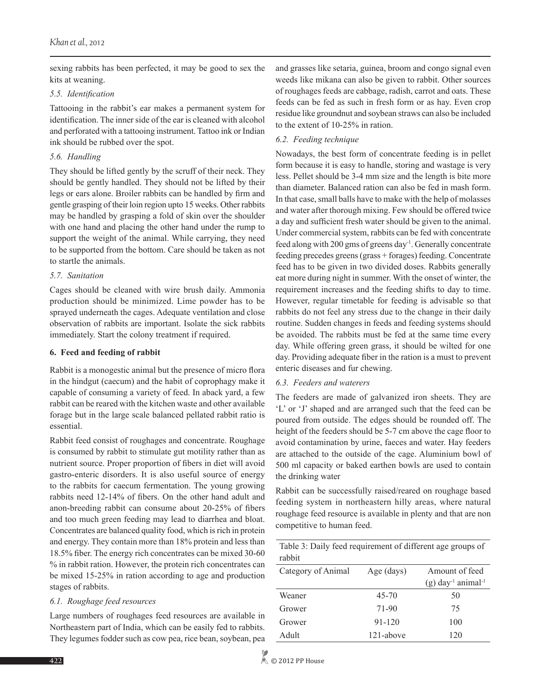sexing rabbits has been perfected, it may be good to sex the kits at weaning.

#### *5.5. Identification*

Tattooing in the rabbit's ear makes a permanent system for identification. The inner side of the ear is cleaned with alcohol and perforated with a tattooing instrument. Tattoo ink or Indian ink should be rubbed over the spot.

## *5.6. Handling*

They should be lifted gently by the scruff of their neck. They should be gently handled. They should not be lifted by their legs or ears alone. Broiler rabbits can be handled by firm and gentle grasping of their loin region upto 15 weeks. Other rabbits may be handled by grasping a fold of skin over the shoulder with one hand and placing the other hand under the rump to support the weight of the animal. While carrying, they need to be supported from the bottom. Care should be taken as not to startle the animals.

## *5.7. Sanitation*

Cages should be cleaned with wire brush daily. Ammonia production should be minimized. Lime powder has to be sprayed underneath the cages. Adequate ventilation and close observation of rabbits are important. Isolate the sick rabbits immediately. Start the colony treatment if required.

## **6. Feed and feeding of rabbit**

Rabbit is a monogestic animal but the presence of micro flora in the hindgut (caecum) and the habit of coprophagy make it capable of consuming a variety of feed. In aback yard, a few rabbit can be reared with the kitchen waste and other available forage but in the large scale balanced pellated rabbit ratio is essential.

Rabbit feed consist of roughages and concentrate. Roughage is consumed by rabbit to stimulate gut motility rather than as nutrient source. Proper proportion of fibers in diet will avoid gastro-enteric disorders. It is also useful source of energy to the rabbits for caecum fermentation. The young growing rabbits need 12-14% of fibers. On the other hand adult and anon-breeding rabbit can consume about 20-25% of fibers and too much green feeding may lead to diarrhea and bloat. Concentrates are balanced quality food, which is rich in protein and energy. They contain more than 18% protein and less than 18.5% fiber. The energy rich concentrates can be mixed 30-60 % in rabbit ration. However, the protein rich concentrates can be mixed 15-25% in ration according to age and production stages of rabbits.

## *6.1. Roughage feed resources*

Large numbers of roughages feed resources are available in Northeastern part of India, which can be easily fed to rabbits. They legumes fodder such as cow pea, rice bean, soybean, pea and grasses like setaria, guinea, broom and congo signal even weeds like mikana can also be given to rabbit. Other sources of roughages feeds are cabbage, radish, carrot and oats. These feeds can be fed as such in fresh form or as hay. Even crop residue like groundnut and soybean straws can also be included to the extent of 10-25% in ration.

## *6.2. Feeding technique*

Nowadays, the best form of concentrate feeding is in pellet form because it is easy to handle, storing and wastage is very less. Pellet should be 3-4 mm size and the length is bite more than diameter. Balanced ration can also be fed in mash form. In that case, small balls have to make with the help of molasses and water after thorough mixing. Few should be offered twice a day and sufficient fresh water should be given to the animal. Under commercial system, rabbits can be fed with concentrate feed along with 200 gms of greens day-1. Generally concentrate feeding precedes greens (grass + forages) feeding. Concentrate feed has to be given in two divided doses. Rabbits generally eat more during night in summer. With the onset of winter, the requirement increases and the feeding shifts to day to time. However, regular timetable for feeding is advisable so that rabbits do not feel any stress due to the change in their daily routine. Sudden changes in feeds and feeding systems should be avoided. The rabbits must be fed at the same time every day. While offering green grass, it should be wilted for one day. Providing adequate fiber in the ration is a must to prevent enteric diseases and fur chewing.

## *6.3. Feeders and waterers*

The feeders are made of galvanized iron sheets. They are 'L' or 'J' shaped and are arranged such that the feed can be poured from outside. The edges should be rounded off. The height of the feeders should be 5-7 cm above the cage floor to avoid contamination by urine, faeces and water. Hay feeders are attached to the outside of the cage. Aluminium bowl of 500 ml capacity or baked earthen bowls are used to contain the drinking water

Rabbit can be successfully raised/reared on roughage based feeding system in northeastern hilly areas, where natural roughage feed resource is available in plenty and that are non competitive to human feed.

Table 3: Daily feed requirement of different age groups of

| rabbit             |            |                                                                |
|--------------------|------------|----------------------------------------------------------------|
| Category of Animal | Age (days) | Amount of feed<br>$(g)$ day <sup>-1</sup> animal <sup>-1</sup> |
| Weaner             | $45 - 70$  | 50                                                             |
| Grower             | $71-90$    | 75                                                             |
| Grower             | 91-120     | 100                                                            |
| Adult              | 121-above  | 120                                                            |